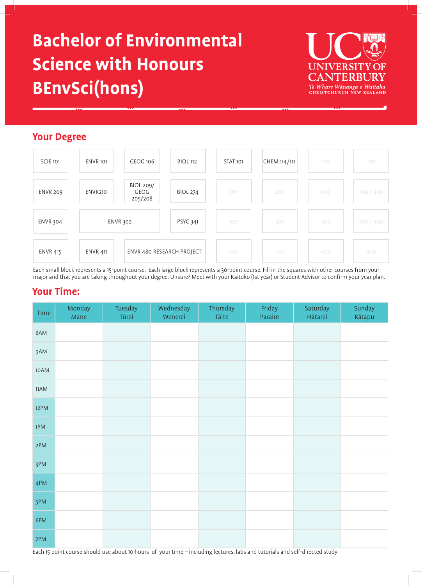# **Bachelor of Environmental Science with Honours BEnvSci(hons)**



# **Your Degree**



Each small block represents a 15-point course. Each large block represents a 30-point course. Fill in the squares with other courses from your major and that you are taking throughout your degree. Unsure? Meet with your Kaitoko (1st year) or Student Advisor to confirm your year plan.

# **Your Time:**

| Time   | Monday<br>Mane | Tuesday<br>Tūrei | Wednesday<br>Wenerei | Thursday<br>Tāite | Friday<br>Paraire | Saturday<br>Hātarei | Sunday<br>Rātapu |
|--------|----------------|------------------|----------------------|-------------------|-------------------|---------------------|------------------|
| 8AM    |                |                  |                      |                   |                   |                     |                  |
| 9AM    |                |                  |                      |                   |                   |                     |                  |
| 10AM   |                |                  |                      |                   |                   |                     |                  |
| $11AM$ |                |                  |                      |                   |                   |                     |                  |
| 12PM   |                |                  |                      |                   |                   |                     |                  |
| 1PM    |                |                  |                      |                   |                   |                     |                  |
| 2PM    |                |                  |                      |                   |                   |                     |                  |
| 3PM    |                |                  |                      |                   |                   |                     |                  |
| 4PM    |                |                  |                      |                   |                   |                     |                  |
| 5PM    |                |                  |                      |                   |                   |                     |                  |
| 6PM    |                |                  |                      |                   |                   |                     |                  |
| 7PM    |                |                  |                      |                   |                   |                     |                  |

Each 15 point course should use about 10 hours of your time – including lectures, labs and tutorials and self-directed study